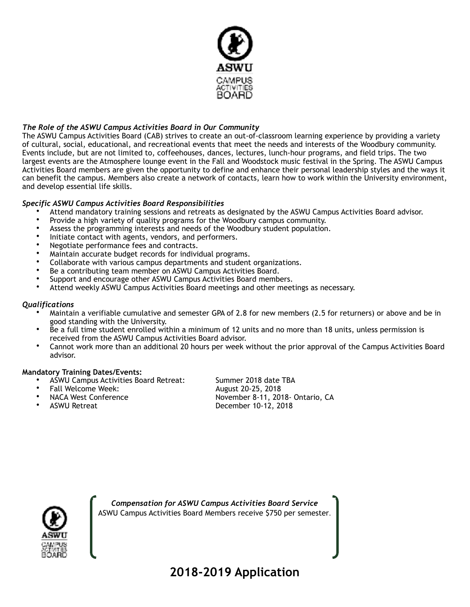

## *The Role of the ASWU Campus Activities Board in Our Community*

The ASWU Campus Activities Board (CAB) strives to create an out-of-classroom learning experience by providing a variety of cultural, social, educational, and recreational events that meet the needs and interests of the Woodbury community. Events include, but are not limited to, coffeehouses, dances, lectures, lunch-hour programs, and field trips. The two largest events are the Atmosphere lounge event in the Fall and Woodstock music festival in the Spring. The ASWU Campus Activities Board members are given the opportunity to define and enhance their personal leadership styles and the ways it can benefit the campus. Members also create a network of contacts, learn how to work within the University environment, and develop essential life skills.

### *Specific ASWU Campus Activities Board Responsibilities*

- Attend mandatory training sessions and retreats as designated by the ASWU Campus Activities Board advisor.
- Provide a high variety of quality programs for the Woodbury campus community.
- Assess the programming interests and needs of the Woodbury student population.
- Initiate contact with agents, vendors, and performers.
- Negotiate performance fees and contracts.
- Maintain accurate budget records for individual programs.
- Collaborate with various campus departments and student organizations.
- Be a contributing team member on ASWU Campus Activities Board.
- Support and encourage other ASWU Campus Activities Board members.
- Attend weekly ASWU Campus Activities Board meetings and other meetings as necessary.

#### *Qualifications*

- Maintain a verifiable cumulative and semester GPA of 2.8 for new members (2.5 for returners) or above and be in good standing with the University.
- Be a full time student enrolled within a minimum of 12 units and no more than 18 units, unless permission is received from the ASWU Campus Activities Board advisor.
- Cannot work more than an additional 20 hours per week without the prior approval of the Campus Activities Board advisor.

#### **Mandatory Training Dates/Events:**

- 
- 
- 
- 

• ASWU Campus Activities Board Retreat: Summer 2018 date TBA August 20-25, 2018 • NACA West Conference November 8-11, 2018- Ontario, CA December 10-12, 2018



*Compensation for ASWU Campus Activities Board Service*  ASWU Campus Activities Board Members receive \$750 per semester.

# **2018-2019 Application**